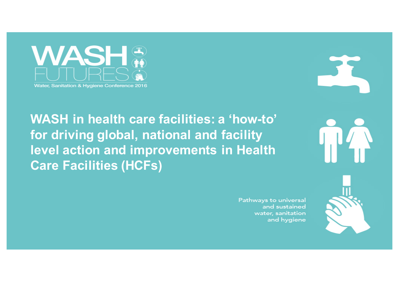

**WASH in health care facilities: a 'how-to' for driving global, national and facility level action and improvements in Health Care Facilities (HCFs)**

> Pathways to universal and sustained water, sanitation and hygiene

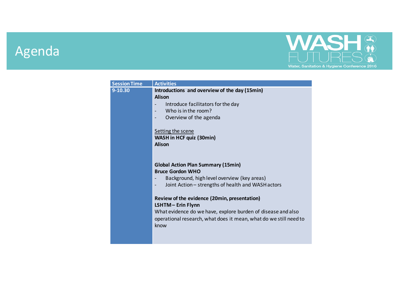

| <b>Session Time</b> | <b>Activities</b>                                                 |
|---------------------|-------------------------------------------------------------------|
| 9-10.30             | Introductions and overview of the day (15min)<br><b>Alison</b>    |
|                     | Introduce facilitators for the day                                |
|                     | Who is in the room?                                               |
|                     | Overview of the agenda                                            |
|                     |                                                                   |
|                     | Setting the scene                                                 |
|                     | <b>WASH in HCF quiz (30min)</b>                                   |
|                     | <b>Alison</b>                                                     |
|                     |                                                                   |
|                     |                                                                   |
|                     | <b>Global Action Plan Summary (15min)</b>                         |
|                     | <b>Bruce Gordon WHO</b>                                           |
|                     | Background, high level overview (key areas)                       |
|                     | Joint Action – strengths of health and WASH actors                |
|                     |                                                                   |
|                     | Review of the evidence (20min, presentation)                      |
|                     | <b>LSHTM-Erin Flynn</b>                                           |
|                     | What evidence do we have, explore burden of disease and also      |
|                     |                                                                   |
|                     | operational research, what does it mean, what do we still need to |
|                     | know                                                              |
|                     |                                                                   |
|                     |                                                                   |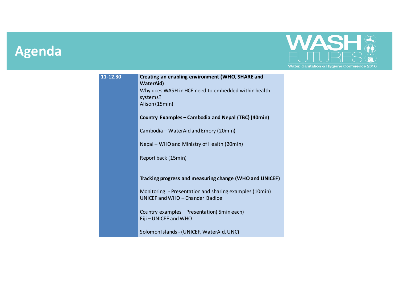

| 11-12.30 | Creating an enabling environment (WHO, SHARE and<br><b>WaterAid)</b><br>Why does WASH in HCF need to embedded within health<br>systems?<br>Alison (15min) |
|----------|-----------------------------------------------------------------------------------------------------------------------------------------------------------|
|          | Country Examples – Cambodia and Nepal (TBC) (40min)                                                                                                       |
|          | Cambodia - WaterAid and Emory (20min)                                                                                                                     |
|          | Nepal - WHO and Ministry of Health (20min)                                                                                                                |
|          | Report back (15min)                                                                                                                                       |
|          |                                                                                                                                                           |
|          | Tracking progress and measuring change (WHO and UNICEF)                                                                                                   |
|          | Monitoring - Presentation and sharing examples (10min)<br>UNICEF and WHO - Chander Badloe                                                                 |
|          | Country examples - Presentation(5mineach)<br>Fiji-UNICEF and WHO                                                                                          |
|          | Solomon Islands - (UNICEF, WaterAid, UNC)                                                                                                                 |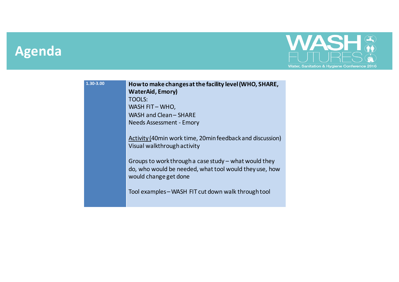

| 1.30-3.00 | How to make changes at the facility level (WHO, SHARE,<br><b>WaterAid, Emory)</b><br><b>TOOLS:</b><br>WASH FIT - WHO,<br>WASH and Clean - SHARE<br><b>Needs Assessment - Emory</b><br>Activity (40min work time, 20min feedback and discussion) |
|-----------|-------------------------------------------------------------------------------------------------------------------------------------------------------------------------------------------------------------------------------------------------|
|           | Visual walkthrough activity<br>Groups to work through a case study $-$ what would they<br>do, who would be needed, what tool would they use, how<br>would change get done<br>Tool examples - WASH FIT cut down walk through tool                |